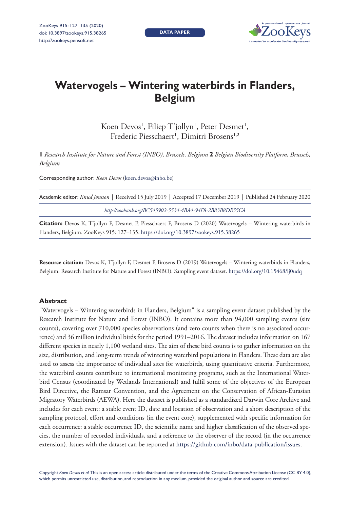**DATA PAPER**



# **Watervogels – Wintering waterbirds in Flanders, Belgium**

Koen Devos', Filiep T'jollyn', Peter Desmet', Frederic Piesschaert<sup>1</sup>, Dimitri Brosens<sup>1,2</sup>

**1** *Research Institute for Nature and Forest (INBO), Brussels, Belgium* **2** *Belgian Biodiversity Platform, Brussels, Belgium*

Corresponding author: *Koen Devos* ([koen.devos@inbo.be\)](mailto:koen.devos@inbo.be)

| Academic editor: Knud Jønsson   Received 15 July 2019   Accepted 17 December 2019   Published 24 February 2020 |
|----------------------------------------------------------------------------------------------------------------|
| http://zoobank.org/BC545902-5534-4BA4-94F8-2B83B8DE55CA                                                        |
| Citation: Devoc K, T'iollyn E, Desmet P, Pieccchaert E, Brosens D, (2020) Waterwoods. Wintering waterbirds in  |

**Citation:** Devos K, T'jollyn F, Desmet P, Piesschaert F, Brosens D (2020) Watervogels – Wintering waterbirds in Flanders, Belgium. ZooKeys 915: 127–135. <https://doi.org/10.3897/zookeys.915.38265>

**Resource citation:** Devos K, T'jollyn F, Desmet P, Brosens D (2019) Watervogels – Wintering waterbirds in Flanders, Belgium. Research Institute for Nature and Forest (INBO). Sampling event dataset. <https://doi.org/10.15468/lj0udq>

#### **Abstract**

"Watervogels – Wintering waterbirds in Flanders, Belgium" is a sampling event dataset published by the Research Institute for Nature and Forest (INBO). It contains more than 94,000 sampling events (site counts), covering over 710,000 species observations (and zero counts when there is no associated occurrence) and 36 million individual birds for the period 1991–2016. The dataset includes information on 167 different species in nearly 1,100 wetland sites. The aim of these bird counts is to gather information on the size, distribution, and long-term trends of wintering waterbird populations in Flanders. These data are also used to assess the importance of individual sites for waterbirds, using quantitative criteria. Furthermore, the waterbird counts contribute to international monitoring programs, such as the International Waterbird Census (coordinated by Wetlands International) and fulfil some of the objectives of the European Bird Directive, the Ramsar Convention, and the Agreement on the Conservation of African-Eurasian Migratory Waterbirds (AEWA). Here the dataset is published as a standardized Darwin Core Archive and includes for each event: a stable event ID, date and location of observation and a short description of the sampling protocol, effort and conditions (in the event core), supplemented with specific information for each occurrence: a stable occurrence ID, the scientific name and higher classification of the observed species, the number of recorded individuals, and a reference to the observer of the record (in the occurrence extension). Issues with the dataset can be reported at [https://github.com/inbo/data-publication/issues.](https://github.com/inbo/data-publication/issues)

Copyright *Koen Devos et al.* This is an open access article distributed under the terms of the [Creative Commons Attribution License \(CC BY 4.0\),](http://creativecommons.org/licenses/by/4.0/) which permits unrestricted use, distribution, and reproduction in any medium, provided the original author and source are credited.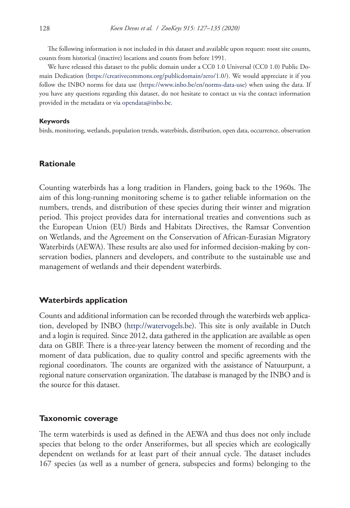The following information is not included in this dataset and available upon request: roost site counts, counts from historical (inactive) locations and counts from before 1991.

We have released this dataset to the public domain under a CC0 1.0 Universal (CC0 1.0) Public Domain Dedication [\(https://creativecommons.org/publicdomain/zero/1.0/\)](https://creativecommons.org/publicdomain/zero/1.0/). We would appreciate it if you follow the INBO norms for data use [\(https://www.inbo.be/en/norms-data-use](https://www.inbo.be/en/norms-data-use)) when using the data. If you have any questions regarding this dataset, do not hesitate to contact us via the contact information provided in the metadata or via [opendata@inbo.be](mailto:opendata@inbo.be).

#### **Keywords**

birds, monitoring, wetlands, population trends, waterbirds, distribution, open data, occurrence, observation

### **Rationale**

Counting waterbirds has a long tradition in Flanders, going back to the 1960s. The aim of this long-running monitoring scheme is to gather reliable information on the numbers, trends, and distribution of these species during their winter and migration period. This project provides data for international treaties and conventions such as the European Union (EU) Birds and Habitats Directives, the Ramsar Convention on Wetlands, and the Agreement on the Conservation of African-Eurasian Migratory Waterbirds (AEWA). These results are also used for informed decision-making by conservation bodies, planners and developers, and contribute to the sustainable use and management of wetlands and their dependent waterbirds.

### **Waterbirds application**

Counts and additional information can be recorded through the waterbirds web application, developed by INBO [\(http://watervogels.be](http://watervogels.be)). This site is only available in Dutch and a login is required. Since 2012, data gathered in the application are available as open data on GBIF. There is a three-year latency between the moment of recording and the moment of data publication, due to quality control and specific agreements with the regional coordinators. The counts are organized with the assistance of Natuurpunt, a regional nature conservation organization. The database is managed by the INBO and is the source for this dataset.

#### **Taxonomic coverage**

The term waterbirds is used as defined in the AEWA and thus does not only include species that belong to the order Anseriformes, but all species which are ecologically dependent on wetlands for at least part of their annual cycle. The dataset includes 167 species (as well as a number of genera, subspecies and forms) belonging to the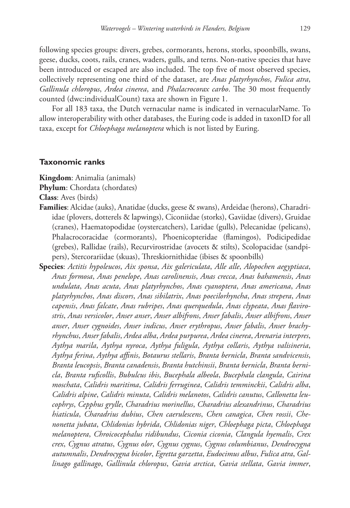following species groups: divers, grebes, cormorants, herons, storks, spoonbills, swans, geese, ducks, coots, rails, cranes, waders, gulls, and terns. Non-native species that have been introduced or escaped are also included. The top five of most observed species, collectively representing one third of the dataset, are *Anas platyrhynchos*, *Fulica atra*, *Gallinula chloropus*, *Ardea cinerea*, and *Phalacrocorax carbo*. The 30 most frequently counted (dwc:individualCount) taxa are shown in Figure 1.

For all 183 taxa, the Dutch vernacular name is indicated in vernacularName. To allow interoperability with other databases, the Euring code is added in taxonID for all taxa, except for *Chloephaga melanoptera* which is not listed by Euring.

#### **Taxonomic ranks**

**Kingdom**: Animalia (animals)

**Phylum**: Chordata (chordates)

**Class**: Aves (birds)

- **Families**: Alcidae (auks), Anatidae (ducks, geese & swans), Ardeidae (herons), Charadriidae (plovers, dotterels & lapwings), Ciconiidae (storks), Gaviidae (divers), Gruidae (cranes), Haematopodidae (oystercatchers), Laridae (gulls), Pelecanidae (pelicans), Phalacrocoracidae (cormorants), Phoenicopteridae (flamingos), Podicipedidae (grebes), Rallidae (rails), Recurvirostridae (avocets & stilts), Scolopacidae (sandpipers), Stercorariidae (skuas), Threskiornithidae (ibises & spoonbills)
- **Species**: *Actitis hypoleucos*, *Aix sponsa*, *Aix galericulata*, *Alle alle*, *Alopochen aegyptiaca*, *Anas formosa*, *Anas penelope*, *Anas carolinensis*, *Anas crecca*, *Anas bahamensis*, *Anas undulata*, *Anas acuta*, *Anas platyrhynchos*, *Anas cyanoptera*, *Anas americana*, *Anas platyrhynchos*, *Anas discors*, *Anas sibilatrix*, *Anas poecilorhyncha*, *Anas strepera*, *Anas capensis*, *Anas falcate*, *Anas rubripes*, *Anas querquedula*, *Anas clypeata*, *Anas flavirostris*, *Anas versicolor*, *Anser anser*, *Anser albifrons*, *Anser fabalis*, *Anser albifrons*, *Anser anser*, *Anser cygnoides*, *Anser indicus*, *Anser erythropus*, *Anser fabalis*, *Anser brachyrhynchus*, *Anser fabalis*, *Ardea alba*, *Ardea purpurea*, *Ardea cinerea*, *Arenaria interpres*, *Aythya marila*, *Aythya nyroca*, *Aythya fuligula*, *Aythya collaris*, *Aythya valisineria*, *Aythya ferina*, *Aythya affinis*, *Botaurus stellaris*, *Branta bernicla*, *Branta sandvicensis*, *Branta leucopsis*, *Branta canadensis*, *Branta hutchinsii*, *Branta bernicla*, *Branta bernicla*, *Branta ruficollis*, *Bubulcus ibis*, *Bucephala albeola*, *Bucephala clangula*, *Cairina moschata*, *Calidris maritima*, *Calidris ferruginea*, *Calidris temminckii*, *Calidris alba*, *Calidris alpine*, *Calidris minuta*, *Calidris melanotos*, *Calidris canutus*, *Callonetta leucophrys*, *Cepphus grylle*, *Charadrius morinellus*, *Charadrius alexandrinus*, *Charadrius hiaticula*, *Charadrius dubius*, *Chen caerulescens*, *Chen canagica*, *Chen rossii*, *Chenonetta jubata*, *Chlidonias hybrida*, *Chlidonias niger*, *Chloephaga picta*, *Chloephaga melanoptera*, *Chroicocephalus ridibundus*, *Ciconia ciconia*, *Clangula hyemalis*, *Crex crex*, *Cygnus atratus*, *Cygnus olor*, *Cygnus cygnus*, *Cygnus columbianus*, *Dendrocygna autumnalis*, *Dendrocygna bicolor*, *Egretta garzetta*, *Eudocimus albus*, *Fulica atra*, *Gallinago gallinago*, *Gallinula chloropus*, *Gavia arctica*, *Gavia stellata*, *Gavia immer*,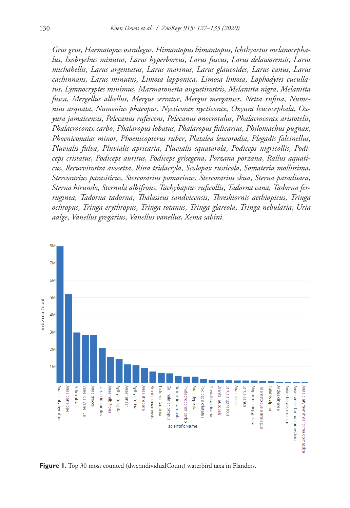*Grus grus*, *Haematopus ostralegus*, *Himantopus himantopus*, *Ichthyaetus melanocephalus*, *Ixobrychus minutus*, *Larus hyperboreus*, *Larus fuscus*, *Larus delawarensis*, *Larus michahellis*, *Larus argentatus*, *Larus marinus*, *Larus glaucoides*, *Larus canus*, *Larus cachinnans*, *Larus minutus*, *Limosa lapponica*, *Limosa limosa*, *Lophodytes cucullatus*, *Lymnocryptes minimus*, *Marmaronetta angustirostris*, *Melanitta nigra*, *Melanitta fusca*, *Mergellus albellus*, *Mergus serrator*, *Mergus merganser*, *Netta rufina*, *Numenius arquata*, *Numenius phaeopus*, *Nycticorax nycticorax*, *Oxyura leucocephala*, *Oxyura jamaicensis*, *Pelecanus rufescens*, *Pelecanus onocrotalus*, *Phalacrocorax aristotelis*, *Phalacrocorax carbo*, *Phalaropus lobatus*, *Phalaropus fulicarius*, *Philomachus pugnax*, *Phoeniconaias minor*, *Phoenicopterus ruber*, *Platalea leucorodia*, *Plegadis falcinellus*, *Pluvialis fulva*, *Pluvialis apricaria*, *Pluvialis squatarola*, *Podiceps nigricollis*, *Podiceps cristatus*, *Podiceps auritus*, *Podiceps grisegena*, *Porzana porzana*, *Rallus aquaticus*, *Recurvirostra avosetta*, *Rissa tridactyla*, *Scolopax rusticola*, *Somateria mollissima*, *Stercorarius parasiticus*, *Stercorarius pomarinus*, *Stercorarius skua*, *Sterna paradisaea*, *Sterna hirundo*, *Sternula albifrons*, *Tachybaptus ruficollis*, *Tadorna cana*, *Tadorna ferruginea*, *Tadorna tadorna*, *Thalasseus sandvicensis*, *Threskiornis aethiopicus*, *Tringa ochropus*, *Tringa erythropus*, *Tringa totanus*, *Tringa glareola*, *Tringa nebularia*, *Uria aalge*, *Vanellus gregarius*, *Vanellus vanellus*, *Xema sabini*.



Figure 1. Top 30 most counted (dwc:individualCount) waterbird taxa in Flanders.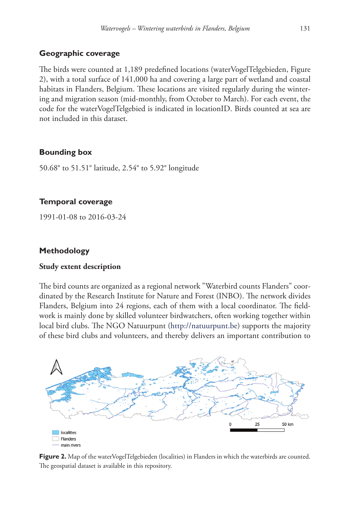# **Geographic coverage**

The birds were counted at 1,189 predefined locations (waterVogelTelgebieden, Figure 2), with a total surface of 141,000 ha and covering a large part of wetland and coastal habitats in Flanders, Belgium. These locations are visited regularly during the wintering and migration season (mid-monthly, from October to March). For each event, the code for the waterVogelTelgebied is indicated in locationID. Birds counted at sea are not included in this dataset.

### **Bounding box**

50.68° to 51.51° latitude, 2.54° to 5.92° longitude

### **Temporal coverage**

1991-01-08 to 2016-03-24

# **Methodology**

### **Study extent description**

The bird counts are organized as a regional network "Waterbird counts Flanders" coordinated by the Research Institute for Nature and Forest (INBO). The network divides Flanders, Belgium into 24 regions, each of them with a local coordinator. The fieldwork is mainly done by skilled volunteer birdwatchers, often working together within local bird clubs. The NGO Natuurpunt [\(http://natuurpunt.be](http://natuurpunt.be)) supports the majority of these bird clubs and volunteers, and thereby delivers an important contribution to



Figure 2. Map of the waterVogelTelgebieden (localities) in Flanders in which the waterbirds are counted. The geospatial dataset is available in this repository.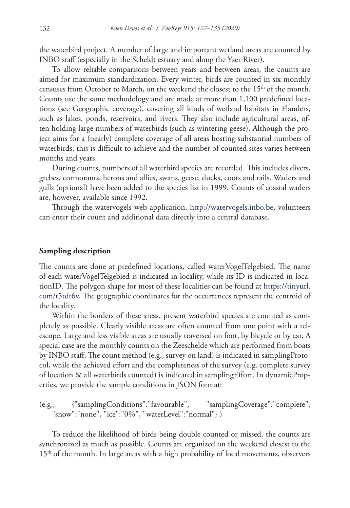the waterbird project. A number of large and important wetland areas are counted by INBO staff (especially in the Scheldt estuary and along the Yser River).

To allow reliable comparisons between years and between areas, the counts are aimed for maximum standardization. Every winter, birds are counted in six monthly censuses from October to March, on the weekend the closest to the 15<sup>th</sup> of the month. Counts use the same methodology and are made at more than 1,100 predefined locations (see Geographic coverage), covering all kinds of wetland habitats in Flanders, such as lakes, ponds, reservoirs, and rivers. They also include agricultural areas, often holding large numbers of waterbirds (such as wintering geese). Although the project aims for a (nearly) complete coverage of all areas hosting substantial numbers of waterbirds, this is difficult to achieve and the number of counted sites varies between months and years.

During counts, numbers of all waterbird species are recorded. This includes divers, grebes, cormorants, herons and allies, swans, geese, ducks, coots and rails. Waders and gulls (optional) have been added to the species list in 1999. Counts of coastal waders are, however, available since 1992.

Through the watervogels web application, <http://watervogels.inbo.be>, volunteers can enter their count and additional data directly into a central database.

#### **Sampling description**

The counts are done at predefined locations, called waterVogelTelgebied. The name of each waterVogelTelgebied is indicated in locality, while its ID is indicated in locationID. The polygon shape for most of these localities can be found at [https://tinyurl.](https://tinyurl.com/t5tdt6v) [com/t5tdt6v.](https://tinyurl.com/t5tdt6v) The geographic coordinates for the occurrences represent the centroid of the locality.

Within the borders of these areas, present waterbird species are counted as completely as possible. Clearly visible areas are often counted from one point with a telescope. Large and less visible areas are usually traversed on foot, by bicycle or by car. A special case are the monthly counts on the Zeeschelde which are performed from boats by INBO staff. The count method (e.g., survey on land) is indicated in samplingProtocol, while the achieved effort and the completeness of the survey (e.g. complete survey of location & all waterbirds counted) is indicated in samplingEffort. In dynamicProperties, we provide the sample conditions in JSON format:

(e.g., {"samplingConditions":"favourable", "samplingCoverage":"complete", "snow":"none", "ice":"0%", "waterLevel":"normal"} )

To reduce the likelihood of birds being double counted or missed, the counts are synchronized as much as possible. Counts are organized on the weekend closest to the  $15<sup>th</sup>$  of the month. In large areas with a high probability of local movements, observers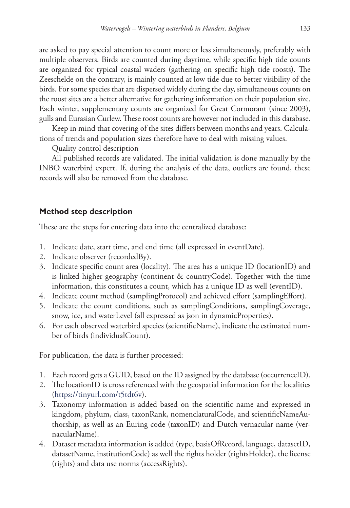are asked to pay special attention to count more or less simultaneously, preferably with multiple observers. Birds are counted during daytime, while specific high tide counts are organized for typical coastal waders (gathering on specific high tide roosts). The Zeeschelde on the contrary, is mainly counted at low tide due to better visibility of the birds. For some species that are dispersed widely during the day, simultaneous counts on the roost sites are a better alternative for gathering information on their population size. Each winter, supplementary counts are organized for Great Cormorant (since 2003), gulls and Eurasian Curlew. These roost counts are however not included in this database.

Keep in mind that covering of the sites differs between months and years. Calculations of trends and population sizes therefore have to deal with missing values.

Quality control description

All published records are validated. The initial validation is done manually by the INBO waterbird expert. If, during the analysis of the data, outliers are found, these records will also be removed from the database.

# **Method step description**

These are the steps for entering data into the centralized database:

- 1. Indicate date, start time, and end time (all expressed in eventDate).
- 2. Indicate observer (recordedBy).
- 3. Indicate specific count area (locality). The area has a unique ID (locationID) and is linked higher geography (continent & countryCode). Together with the time information, this constitutes a count, which has a unique ID as well (eventID).
- 4. Indicate count method (samplingProtocol) and achieved effort (samplingEffort).
- 5. Indicate the count conditions, such as samplingConditions, samplingCoverage, snow, ice, and waterLevel (all expressed as json in dynamicProperties).
- 6. For each observed waterbird species (scientificName), indicate the estimated number of birds (individualCount).

For publication, the data is further processed:

- 1. Each record gets a GUID, based on the ID assigned by the database (occurrenceID).
- 2. The locationID is cross referenced with the geospatial information for the localities (<https://tinyurl.com/t5tdt6v>).
- 3. Taxonomy information is added based on the scientific name and expressed in kingdom, phylum, class, taxonRank, nomenclaturalCode, and scientificNameAuthorship, as well as an Euring code (taxonID) and Dutch vernacular name (vernacularName).
- 4. Dataset metadata information is added (type, basisOfRecord, language, datasetID, datasetName, institutionCode) as well the rights holder (rightsHolder), the license (rights) and data use norms (accessRights).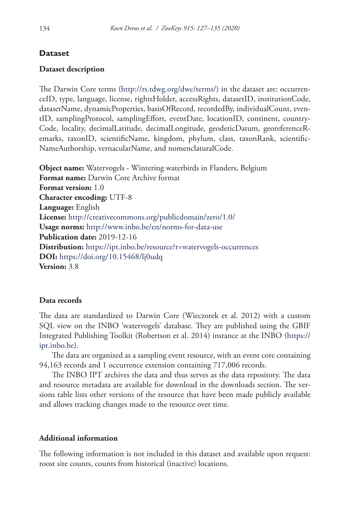# **Dataset**

# **Dataset description**

The Darwin Core terms (<http://rs.tdwg.org/dwc/terms/>) in the dataset are: occurrenceID, type, language, license, rightsHolder, accessRights, datasetID, institutionCode, datasetName, dynamicProperties, basisOfRecord, recordedBy, individualCount, eventID, samplingProtocol, samplingEffort, eventDate, locationID, continent, country-Code, locality, decimalLatitude, decimalLongitude, geodeticDatum, georeferenceRemarks, taxonID, scientificName, kingdom, phylum, class, taxonRank, scientific-NameAuthorship, vernacularName, and nomenclaturalCode.

**Object name:** Watervogels - Wintering waterbirds in Flanders, Belgium **Format name:** Darwin Core Archive format **Format version:** 1.0 **Character encoding:** UTF-8 **Language:** English **License:** <http://creativecommons.org/publicdomain/zero/1.0/> **Usage norms:** <http://www.inbo.be/en/norms-for-data-use> **Publication date:** 2019-12-16 **Distribution:** <https://ipt.inbo.be/resource?r=watervogels-occurrences> **DOI:** <https://doi.org/10.15468/lj0udq> **Version:** 3.8

# **Data records**

The data are standardized to Darwin Core (Wieczorek et al. 2012) with a custom SQL view on the INBO 'watervogels' database. They are published using the GBIF Integrated Publishing Toolkit (Robertson et al. 2014) instance at the INBO ([https://](https://ipt.inbo.be) [ipt.inbo.be\)](https://ipt.inbo.be).

The data are organized as a sampling event resource, with an event core containing 94,163 records and 1 occurrence extension containing 717,006 records.

The INBO IPT archives the data and thus serves as the data repository. The data and resource metadata are available for download in the downloads section. The versions table lists other versions of the resource that have been made publicly available and allows tracking changes made to the resource over time.

# **Additional information**

The following information is not included in this dataset and available upon request: roost site counts, counts from historical (inactive) locations.